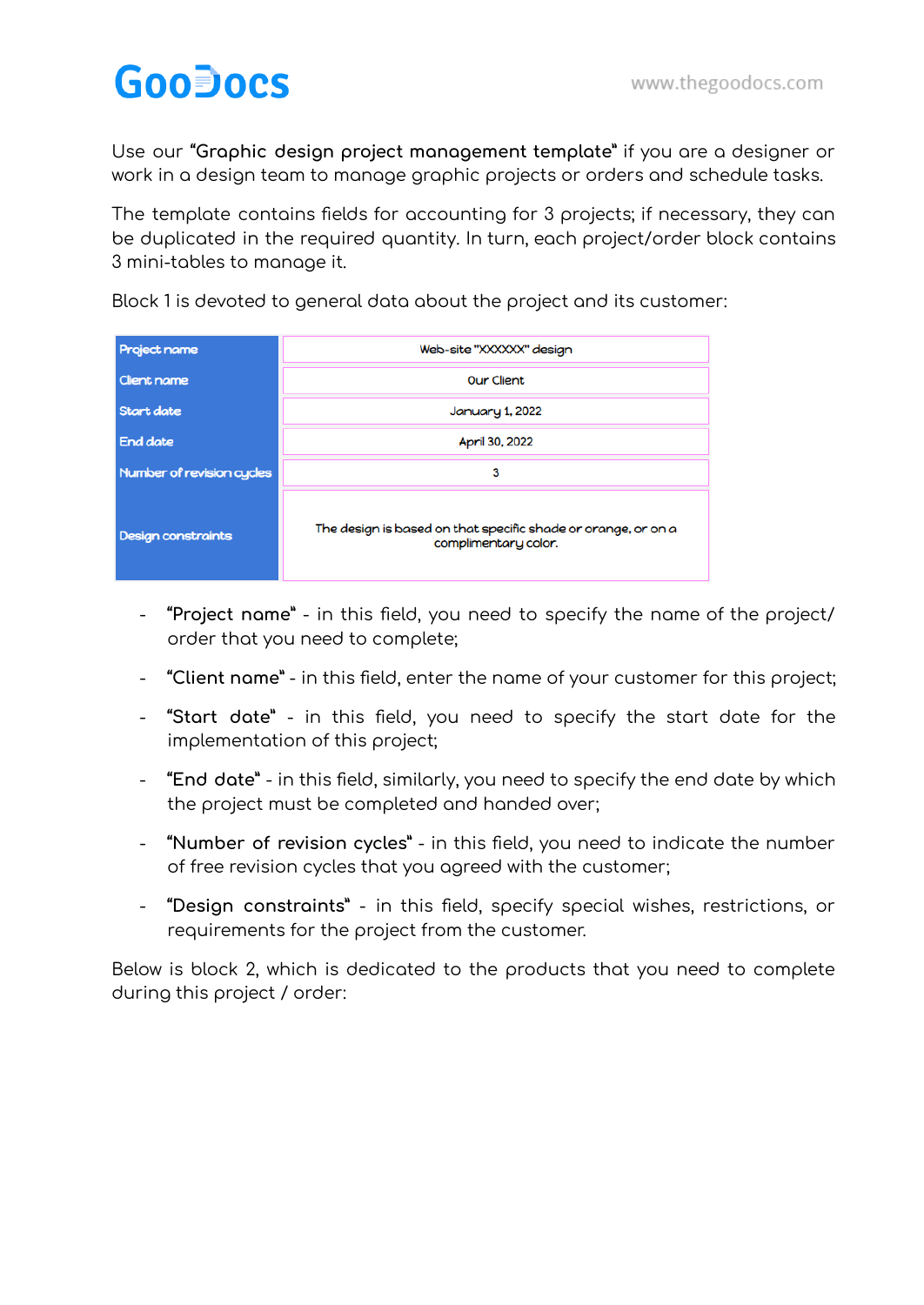## **GooDocs**

Use our **"Graphic design project management template"** if you are a designer or work in a design team to manage graphic projects or orders and schedule tasks.

The template contains fields for accounting for 3 projects; if necessary, they can be duplicated in the required quantity. In turn, each project/order block contains 3 mini-tables to manage it.

Block 1 is devoted to general data about the project and its customer:

| <b>Project name</b>       | Web-site "XXXXXX" design                                                              |  |  |  |  |
|---------------------------|---------------------------------------------------------------------------------------|--|--|--|--|
| <b>Client name</b>        | Our Client                                                                            |  |  |  |  |
| Start date                | <b>January 1, 2022</b>                                                                |  |  |  |  |
| End date                  | April 30, 2022                                                                        |  |  |  |  |
| Number of revision cycles | 3                                                                                     |  |  |  |  |
| Design constraints        | The design is based on that specific shade or orange, or on a<br>complimentary color. |  |  |  |  |

- **"Project name"** in this field, you need to specify the name of the project/ order that you need to complete;
- **"Client name"** in this field, enter the name of your customer for this project;
- **"Start date"** in this field, you need to specify the start date for the implementation of this project;
- **"End date"** in this field, similarly, you need to specify the end date by which the project must be completed and handed over;
- **"Number of revision cycles"** in this field, you need to indicate the number of free revision cycles that you agreed with the customer;
- **"Design constraints"** in this field, specify special wishes, restrictions, or requirements for the project from the customer.

Below is block 2, which is dedicated to the products that you need to complete during this project / order: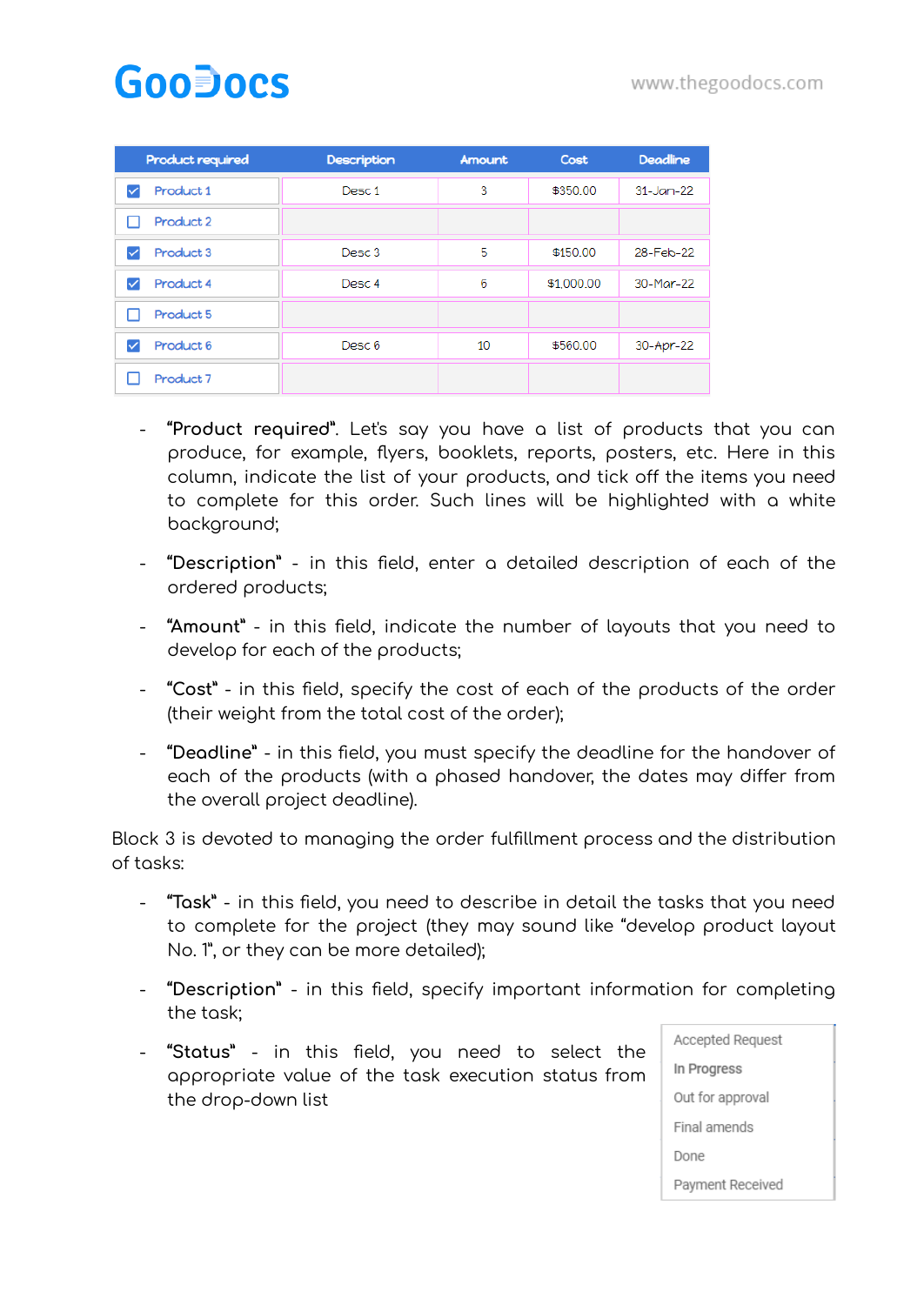## **GooDocs**

| Product required                  | <b>Description</b> | Amount          | Cost     | <b>Deadline</b> |
|-----------------------------------|--------------------|-----------------|----------|-----------------|
| Product 1<br>$\blacktriangledown$ | Desc 1             | 3               | \$350.00 | $31 - Jan - 22$ |
| Product 2                         |                    |                 |          |                 |
| Product 3<br>✓                    | Desc <sub>3</sub>  | 5               | \$150.00 | 28-Feb-22       |
| Product 4<br>✓                    | Desc 4             | 6<br>\$1,000.00 |          | 30-Mar-22       |
| Product 5                         |                    |                 |          |                 |
| Product 6<br>✓                    | Desc 6             | 10              | \$560.00 | 30-Apr-22       |
| Product 7                         |                    |                 |          |                 |

- **"Product required"**. Let's say you have a list of products that you can produce, for example, flyers, booklets, reports, posters, etc. Here in this column, indicate the list of your products, and tick off the items you need to complete for this order. Such lines will be highlighted with a white background;
- **"Description"** in this field, enter a detailed description of each of the ordered products;
- **"Amount"** in this field, indicate the number of layouts that you need to develop for each of the products;
- **"Cost"** in this field, specify the cost of each of the products of the order (their weight from the total cost of the order);
- **"Deadline"** in this field, you must specify the deadline for the handover of each of the products (with a phased handover, the dates may differ from the overall project deadline).

Block 3 is devoted to managing the order fulfillment process and the distribution of tasks:

- **"Task"** in this field, you need to describe in detail the tasks that you need to complete for the project (they may sound like "develop product layout No. 1", or they can be more detailed);
- **"Description"** in this field, specify important information for completing the task;
- **"Status"** in this field, you need to select the appropriate value of the task execution status from the drop-down list

| Accepted Request |  |  |  |
|------------------|--|--|--|
| In Progress      |  |  |  |
| Out for approval |  |  |  |
| Final amends     |  |  |  |
| Done             |  |  |  |
| Payment Received |  |  |  |